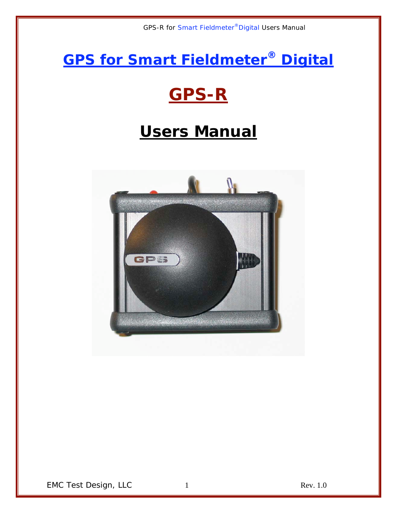**GPS for Smart Fieldmeter® Digital**

# **GPS-R**

# **Users Manual**



EMC Test Design, LLC 1 and 1 Rev. 1.0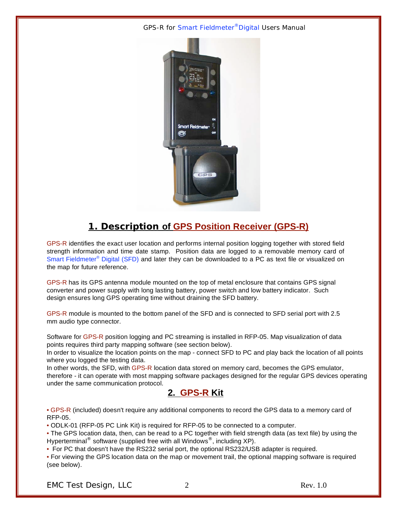

## **1. Description of GPS Position Receiver (GPS-R)**

GPS-R identifies the exact user location and performs internal position logging together with stored field strength information and time date stamp. Position data are logged to a removable memory card of Smart Fieldmeter<sup>®</sup> Digital (SFD) and later they can be downloaded to a PC as text file or visualized on the map for future reference.

GPS-R has its GPS antenna module mounted on the top of metal enclosure that contains GPS signal converter and power supply with long lasting battery, power switch and low battery indicator. Such design ensures long GPS operating time without draining the SFD battery.

GPS-R module is mounted to the bottom panel of the SFD and is connected to SFD serial port with 2.5 mm audio type connector.

Software for GPS-R position logging and PC streaming is installed in RFP-05. Map visualization of data points requires third party mapping software (see section below).

In order to visualize the location points on the map - connect SFD to PC and play back the location of all points where you logged the testing data.

In other words, the SFD, with GPS-R location data stored on memory card, becomes the GPS emulator, therefore - it can operate with most mapping software packages designed for the regular GPS devices operating under the same communication protocol.

## **2. GPS-R Kit**

• GPS-R (included) doesn't require any additional components to record the GPS data to a memory card of RFP-05.

• ODLK-01 (RFP-05 PC Link Kit) is required for RFP-05 to be connected to a computer.

• The GPS location data, then, can be read to a PC together with field strength data (as text file) by using the Hyperterminal<sup>®</sup> software (supplied free with all Windows<sup>®</sup>, including XP).

• For PC that doesn't have the RS232 serial port, the optional RS232/USB adapter is required.

• For viewing the GPS location data on the map or movement trail, the optional mapping software is required (see below).

EMC Test Design, LLC  $\qquad \qquad 2$  Rev. 1.0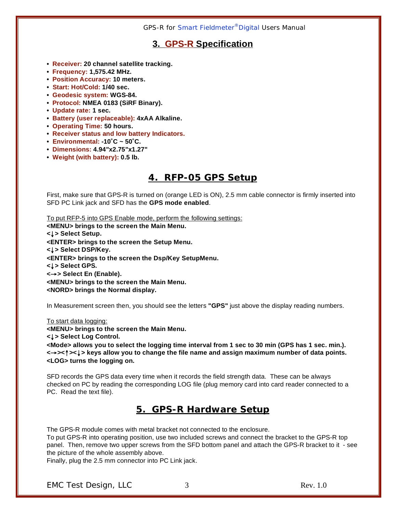## **3. GPS-R Specification**

- **Receiver: 20 channel satellite tracking.**
- **Frequency: 1,575.42 MHz.**
- **Position Accuracy: 10 meters.**
- **Start: Hot/Cold: 1/40 sec.**
- **Geodesic system: WGS-84.**
- **Protocol: NMEA 0183 (SiRF Binary).**
- **Update rate: 1 sec.**
- **Battery (user replaceable): 4xAA Alkaline.**
- **Operating Time: 50 hours.**
- **Receiver status and low battery Indicators.**
- **Environmental: -10˚C ~ 50˚C.**
- **Dimensions: 4.94"x2.75"x1.27"**
- **Weight (with battery): 0.5 lb.**

### **4. RFP-05 GPS Setup**

First, make sure that GPS-R is turned on (orange LED is ON), 2.5 mm cable connector is firmly inserted into SFD PC Link jack and SFD has the **GPS mode enabled**.

To put RFP-5 into GPS Enable mode, perform the following settings: **<MENU> brings to the screen the Main Menu. <**↓**> Select Setup. <ENTER> brings to the screen the Setup Menu. <**↓**> Select DSP/Key. <ENTER> brings to the screen the Dsp/Key SetupMenu. <**↓**> Select GPS. <**→**> Select En (Enable). <MENU> brings to the screen the Main Menu. <NORD> brings the Normal display.**

In Measurement screen then, you should see the letters **"GPS"** just above the display reading numbers.

To start data logging:

**<MENU> brings to the screen the Main Menu.**

**<**↓**> Select Log Control.**

**<Mode> allows you to select the logging time interval from 1 sec to 30 min (GPS has 1 sec. min.). <**→**><**↑**><**↓**> keys allow you to change the file name and assign maximum number of data points. <LOG> turns the logging on.**

SFD records the GPS data every time when it records the field strength data. These can be always checked on PC by reading the corresponding LOG file (plug memory card into card reader connected to a PC. Read the text file).

### **5. GPS-R Hardware Setup**

The GPS-R module comes with metal bracket not connected to the enclosure. To put GPS-R into operating position, use two included screws and connect the bracket to the GPS-R top panel. Then, remove two upper screws from the SFD bottom panel and attach the GPS-R bracket to it - see the picture of the whole assembly above.

Finally, plug the 2.5 mm connector into PC Link jack.

EMC Test Design, LLC 3 Rev. 1.0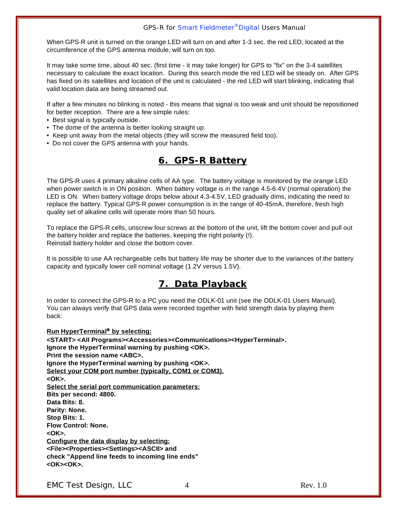When GPS-R unit is turned on the orange LED will turn on and after 1-3 sec. the red LED, located at the circumference of the GPS antenna module, will turn on too.

It may take some time, about 40 sec. (first time - it may take longer) for GPS to "fix" on the 3-4 satellites necessary to calculate the exact location. During this search mode the red LED will be steady on. After GPS has fixed on its satellites and location of the unit is calculated - the red LED will start blinking, indicating that valid location data are being streamed out.

If after a few minutes no blinking is noted - this means that signal is too weak and unit should be repositioned for better reception. There are a few simple rules:

- Best signal is typically outside.
- The dome of the antenna is better looking straight up.
- Keep unit away from the metal objects (they will screw the measured field too).
- Do not cover the GPS antenna with your hands.

### **6. GPS-R Battery**

The GPS-R uses 4 primary alkaline cells of AA type. The battery voltage is monitored by the orange LED when power switch is in ON position. When battery voltage is in the range 4.5-6.4V (normal operation) the LED is ON. When battery voltage drops below about 4.3-4.5V, LED gradually dims, indicating the need to replace the battery. Typical GPS-R power consumption is in the range of 40-45mA, therefore, fresh high quality set of alkaline cells will operate more than 50 hours.

To replace the GPS-R cells, unscrew four screws at the bottom of the unit, lift the bottom cover and pull out the battery holder and replace the batteries, keeping the right polarity (!). Reinstall battery holder and close the bottom cover.

It is possible to use AA rechargeable cells but battery life may be shorter due to the variances of the battery capacity and typically lower cell nominal voltage (1.2V versus 1.5V).

### **7. Data Playback**

In order to connect the GPS-R to a PC you need the ODLK-01 unit (see the ODLK-01 Users Manual). You can always verify that GPS data were recorded together with field strength data by playing them back:

**Run HyperTerminal<sup>®</sup> by selecting: <START> <All Programs><Accessories><Communications><HyperTerminal>. Ignore the HyperTerminal warning by pushing <OK>. Print the session name <ABC>. Ignore the HyperTerminal warning by pushing <OK>. Select your COM port number (typically, COM1 or COM3). <OK>. Select the serial port communication parameters: Bits per second: 4800. Data Bits: 8. Parity: None. Stop Bits: 1. Flow Control: None. <OK>. Configure the data display by selecting: <File><Properties><Settings><ASCII> and check "Append line feeds to incoming line ends" <OK><OK>.**

EMC Test Design, LLC 4 Rev. 1.0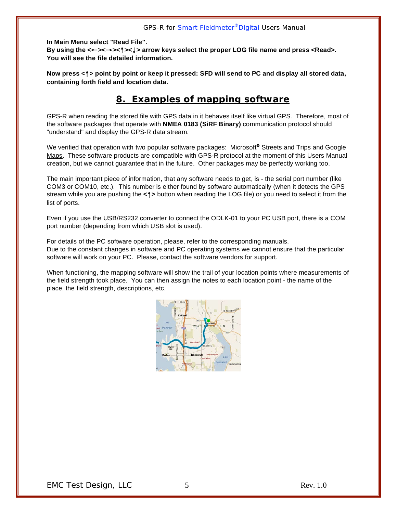**In Main Menu select "Read File". By using the <**←**><**→**><**↑**><**↓**> arrow keys select the proper LOG file name and press <Read>. You will see the file detailed information.**

**Now press <**↑**> point by point or keep it pressed: SFD will send to PC and display all stored data, containing forth field and location data.**

### **8. Examples of mapping software**

GPS-R when reading the stored file with GPS data in it behaves itself like virtual GPS. Therefore, most of the software packages that operate with **NMEA 0183 (SiRF Binary)** communication protocol should "understand" and display the GPS-R data stream.

We verified that operation with two popular software packages: Microsoft<sup>®</sup> Streets and Trips and Google Maps. These software products are compatible with GPS-R protocol at the moment of this Users Manual creation, but we cannot guarantee that in the future. Other packages may be perfectly working too.

The main important piece of information, that any software needs to get, is - the serial port number (like COM3 or COM10, etc.). This number is either found by software automatically (when it detects the GPS stream while you are pushing the **<**↑**>** button when reading the LOG file) or you need to select it from the list of ports.

Even if you use the USB/RS232 converter to connect the ODLK-01 to your PC USB port, there is a COM port number (depending from which USB slot is used).

For details of the PC software operation, please, refer to the corresponding manuals. Due to the constant changes in software and PC operating systems we cannot ensure that the particular software will work on your PC. Please, contact the software vendors for support.

When functioning, the mapping software will show the trail of your location points where measurements of the field strength took place. You can then assign the notes to each location point - the name of the place, the field strength, descriptions, etc.

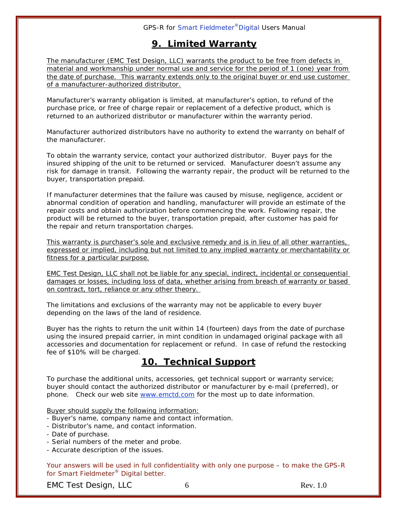## **9. Limited Warranty**

The manufacturer (EMC Test Design, LLC) warrants the product to be free from defects in material and workmanship under normal use and service for the period of 1 (one) year from the date of purchase. This warranty extends only to the original buyer or end use customer of a manufacturer-authorized distributor.

Manufacturer's warranty obligation is limited, at manufacturer's option, to refund of the purchase price, or free of charge repair or replacement of a defective product, which is returned to an authorized distributor or manufacturer within the warranty period.

Manufacturer authorized distributors have no authority to extend the warranty on behalf of the manufacturer.

To obtain the warranty service, contact your authorized distributor. Buyer pays for the insured shipping of the unit to be returned or serviced. Manufacturer doesn't assume any risk for damage in transit. Following the warranty repair, the product will be returned to the buyer, transportation prepaid.

If manufacturer determines that the failure was caused by misuse, negligence, accident or abnormal condition of operation and handling, manufacturer will provide an estimate of the repair costs and obtain authorization before commencing the work. Following repair, the product will be returned to the buyer, transportation prepaid, after customer has paid for the repair and return transportation charges.

This warranty is purchaser's sole and exclusive remedy and is in lieu of all other warranties, expressed or implied, including but not limited to any implied warranty or merchantability or fitness for a particular purpose.

EMC Test Design, LLC shall not be liable for any special, indirect, incidental or consequential damages or losses, including loss of data, whether arising from breach of warranty or based on contract, tort, reliance or any other theory.

The limitations and exclusions of the warranty may not be applicable to every buyer depending on the laws of the land of residence.

Buyer has the rights to return the unit within 14 (fourteen) days from the date of purchase using the insured prepaid carrier, in mint condition in undamaged original package with all accessories and documentation for replacement or refund. In case of refund the restocking fee of \$10% will be charged.

## **10. Technical Support**

To purchase the additional units, accessories, get technical support or warranty service; buyer should contact the authorized distributor or manufacturer by e-mail (preferred), or phone. Check our web site www.emctd.com for the most up to date information.

Buyer should supply the following information:

- Buyer's name, company name and contact information.
- Distributor's name, and contact information.
- Date of purchase.
- Serial numbers of the meter and probe.
- Accurate description of the issues.

Your answers will be used in full confidentiality with only one purpose – to make the GPS-R for Smart Fieldmeter® Digital better.

EMC Test Design, LLC 6 and 6 Rev. 1.0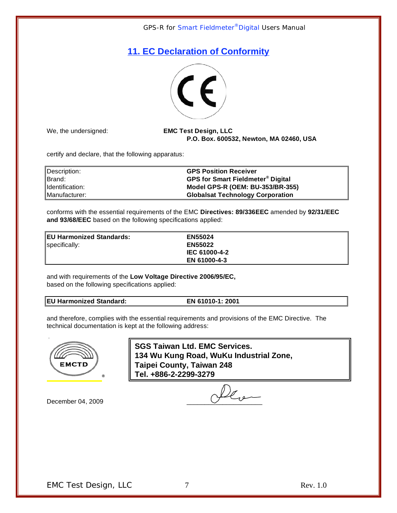# **11. EC Declaration of Conformity**



We, the undersigned: **EMC Test Design, LLC P.O. Box. 600532, Newton, MA 02460, USA**

certify and declare, that the following apparatus:

| Description:    | <b>GPS Position Receiver</b>                        |
|-----------------|-----------------------------------------------------|
| Brand:          | <b>GPS for Smart Fieldmeter<sup>®</sup> Digital</b> |
| Identification: | Model GPS-R (OEM: BU-353/BR-355)                    |
| Manufacturer:   | <b>Globalsat Technology Corporation</b>             |

conforms with the essential requirements of the EMC **Directives: 89/336EEC** amended by **92/31/EEC and 93/68/EEC** based on the following specifications applied:

**EU Harmonized Standards: EN55024** specifically: **EN55022**

**IEC 61000-4-2 EN 61000-4-3**

and with requirements of the **Low Voltage Directive 2006/95/EC,** based on the following specifications applied:

#### **EU Harmonized Standard: EN 61010-1: 2001**

and therefore, complies with the essential requirements and provisions of the EMC Directive.The technical documentation is kept at the following address:

**www.emctor.com** 



**SGS Taiwan Ltd. EMC Services. 134 Wu Kung Road, WuKu Industrial Zone, Taipei County, Taiwan 248 Tel. +886-2-2299-3279**

December 04, 2009  $\bigcup_{\ell_{\alpha}}$